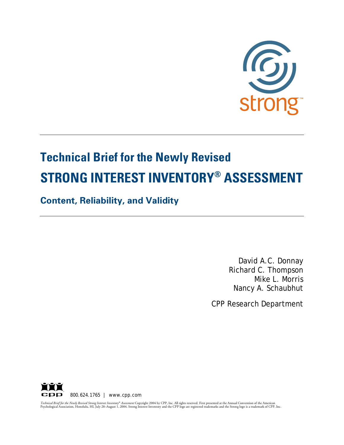

# **Technical Brief for the Newly Revised STRONG INTEREST INVENTORY® ASSESSMENT**

# **Content, Reliability, and Validity**

David A.C. Donnay Richard C. Thompson Mike L. Morris Nancy A. Schaubhut

CPP Research Department



*Technical Brief for the Newly Revised Strong Interest Inventory® Assesment* Copyright 2004 by CPP, Inc. All rights reserved. First presented at the Annual Convention of the American<br>Psychological Association, Honolulu, HI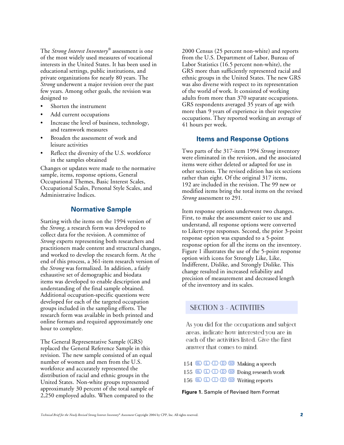The *Strong Interest Inventory®* assessment is one of the most widely used measures of vocational interests in the United States. It has been used in educational settings, public institutions, and private organizations for nearly 80 years. The *Strong* underwent a major revision over the past few years. Among other goals, the revision was designed to

- Shorten the instrument
- Add current occupations
- Increase the level of business, technology, and teamwork measures
- Broaden the assessment of work and leisure activities
- Reflect the diversity of the U.S. workforce in the samples obtained

Changes or updates were made to the normative sample, items, response options, General Occupational Themes, Basic Interest Scales, Occupational Scales, Personal Style Scales, and Administrative Indices.

#### **Normative Sample**

Starting with the items on the 1994 version of the *Strong*, a research form was developed to collect data for the revision. A committee of *Strong* experts representing both researchers and practitioners made content and structural changes, and worked to develop the research form. At the end of this process, a 361-item research version of the *Strong* was formalized. In addition, a fairly exhaustive set of demographic and biodata items was developed to enable description and understanding of the final sample obtained. Additional occupation-specific questions were developed for each of the targeted occupation groups included in the sampling efforts. The research form was available in both printed and online formats and required approximately one hour to complete.

The General Representative Sample (GRS) replaced the General Reference Sample in this revision. The new sample consisted of an equal number of women and men from the U.S. workforce and accurately represented the distribution of racial and ethnic groups in the United States. Non-white groups represented approximately 30 percent of the total sample of 2,250 employed adults. When compared to the

2000 Census (25 percent non-white) and reports from the U.S. Department of Labor, Bureau of Labor Statistics (16.5 percent non-white), the GRS more than sufficiently represented racial and ethnic groups in the United States. The new GRS was also diverse with respect to its representation of the world of work. It consisted of working adults from more than 370 separate occupations. GRS respondents averaged 35 years of age with more than 9 years of experience in their respective occupations. They reported working an average of 41 hours per week.

#### **Items and Response Options**

Two parts of the 317-item 1994 *Strong* inventory were eliminated in the revision, and the associated items were either deleted or adapted for use in other sections. The revised edition has six sections rather than eight. Of the original 317 items, 192 are included in the revision. The 99 new or modified items bring the total items on the revised *Strong* assessment to 291.

Item response options underwent two changes. First, to make the assessment easier to use and understand, all response options were converted to Likert-type responses. Second, the prior 3-point response option was expanded to a 5-point response option for all the items on the inventory. Figure 1 illustrates the use of the 5-point response option with icons for Strongly Like, Like, Indifferent, Dislike, and Strongly Dislike. This change resulted in increased reliability and precision of measurement and decreased length of the inventory and its scales.

# **SECTION 3 - ACTIVITIES**

As you did for the occupations and subject areas, indicate how interested you are in each of the activities listed. Give the first answer that comes to mind.

| $154 \& \Box \Box \Box \Box$ $\Box$ $\Box$ $\Box$ $\Box$ $\Box$ |                                                             |
|-----------------------------------------------------------------|-------------------------------------------------------------|
|                                                                 | $155$ SD $\Box$ $\Box$ $\Box$ $\Box$ SD Doing research work |
| $156$ SD $\Box$ $\Box$ $\Box$ $\Box$ SD SD Writing reports      |                                                             |

**Figure 1.** Sample of Revised Item Format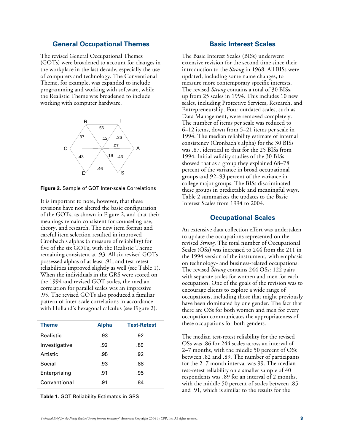#### **General Occupational Themes**

The revised General Occupational Themes (GOTs) were broadened to account for changes in the workplace in the last decade, especially the use of computers and technology. The Conventional Theme, for example, was expanded to include programming and working with software, while the Realistic Theme was broadened to include working with computer hardware.



**Figure 2.** Sample of GOT Inter-scale Correlations

It is important to note, however, that these revisions have not altered the basic configuration of the GOTs, as shown in Figure 2, and that their meanings remain consistent for counseling use, theory, and research. The new item format and careful item selection resulted in improved Cronbach's alphas (a measure of reliability) for five of the six GOTs, with the Realistic Theme remaining consistent at .93. All six revised GOTs possessed alphas of at least .91, and test-retest reliabilities improved slightly as well (see Table 1). When the individuals in the GRS were scored on the 1994 and revised GOT scales, the median correlation for parallel scales was an impressive .95. The revised GOTs also produced a familiar pattern of inter-scale correlations in accordance with Holland's hexagonal calculus (see Figure 2).

| <b>Theme</b>  | <b>Alpha</b> | <b>Test-Retest</b> |
|---------------|--------------|--------------------|
| Realistic     | .93          | .92                |
| Investigative | .92          | .89                |
| Artistic      | .95          | .92                |
| Social        | .93          | .88                |
| Enterprising  | .91          | .95                |
| Conventional  | .91          | .84                |

**Table 1.** GOT Reliability Estimates in GRS

#### **Basic Interest Scales**

The Basic Interest Scales (BISs) underwent extensive revision for the second time since their introduction to the *Strong* in 1968. All BISs were updated, including some name changes, to measure more contemporary specific interests. The revised *Strong* contains a total of 30 BISs, up from 25 scales in 1994. This includes 10 new scales, including Protective Services, Research, and Entrepreneurship. Four outdated scales, such as Data Management, were removed completely. The number of items per scale was reduced to 6–12 items, down from 5–21 items per scale in 1994. The median reliability estimate of internal consistency (Cronbach's alpha) for the 30 BISs was .87, identical to that for the 25 BISs from 1994. Initial validity studies of the 30 BISs showed that as a group they explained 68–78 percent of the variance in broad occupational groups and 92–93 percent of the variance in college major groups. The BISs discriminated these groups in predictable and meaningful ways. Table 2 summarizes the updates to the Basic Interest Scales from 1994 to 2004.

#### **Occupational Scales**

An extensive data collection effort was undertaken to update the occupations represented on the revised *Strong*. The total number of Occupational Scales (OSs) was increased to 244 from the 211 in the 1994 version of the instrument, with emphasis on technology- and business-related occupations. The revised *Strong* contains 244 OSs: 122 pairs with separate scales for women and men for each occupation. One of the goals of the revision was to encourage clients to explore a wide range of occupations, including those that might previously have been dominated by one gender. The fact that there are OSs for both women and men for every occupation communicates the appropriateness of these occupations for both genders.

The median test-retest reliability for the revised OSs was .86 for 244 scales across an interval of 2–7 months, with the middle 50 percent of OSs between .82 and .89. The number of participants for the 2–7 month interval was 99. The median test-retest reliability on a smaller sample of 40 respondents was .89 for an interval of 2 months, with the middle 50 percent of scales between .85 and .91, which is similar to the results for the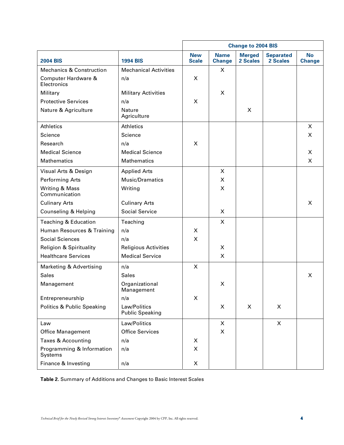|                                       |                                        | <b>Change to 2004 BIS</b>  |                              |                           |                              |                            |
|---------------------------------------|----------------------------------------|----------------------------|------------------------------|---------------------------|------------------------------|----------------------------|
| <b>2004 BIS</b>                       | <b>1994 BIS</b>                        | <b>New</b><br><b>Scale</b> | <b>Name</b><br><b>Change</b> | <b>Merged</b><br>2 Scales | <b>Separated</b><br>2 Scales | <b>No</b><br><b>Change</b> |
| <b>Mechanics &amp; Construction</b>   | <b>Mechanical Activities</b>           |                            | X                            |                           |                              |                            |
| Computer Hardware &<br>Electronics    | n/a                                    | X                          |                              |                           |                              |                            |
| Military                              | <b>Military Activities</b>             |                            | X                            |                           |                              |                            |
| <b>Protective Services</b>            | n/a                                    | X                          |                              |                           |                              |                            |
| Nature & Agriculture                  | Nature<br>Agriculture                  |                            |                              | X                         |                              |                            |
| <b>Athletics</b>                      | <b>Athletics</b>                       |                            |                              |                           |                              | X                          |
| Science                               | Science                                |                            |                              |                           |                              | X                          |
| Research                              | n/a                                    | X                          |                              |                           |                              |                            |
| <b>Medical Science</b>                | <b>Medical Science</b>                 |                            |                              |                           |                              | X                          |
| <b>Mathematics</b>                    | <b>Mathematics</b>                     |                            |                              |                           |                              | X                          |
| Visual Arts & Design                  | <b>Applied Arts</b>                    |                            | X                            |                           |                              |                            |
| <b>Performing Arts</b>                | Music/Dramatics                        |                            | X                            |                           |                              |                            |
| Writing & Mass<br>Communication       | Writing                                |                            | X                            |                           |                              |                            |
| <b>Culinary Arts</b>                  | <b>Culinary Arts</b>                   |                            |                              |                           |                              | X                          |
| Counseling & Helping                  | <b>Social Service</b>                  |                            | X                            |                           |                              |                            |
| <b>Teaching &amp; Education</b>       | Teaching                               |                            | X                            |                           |                              |                            |
| Human Resources & Training            | n/a                                    | X                          |                              |                           |                              |                            |
| <b>Social Sciences</b>                | n/a                                    | X                          |                              |                           |                              |                            |
| <b>Religion &amp; Spirituality</b>    | <b>Religious Activities</b>            |                            | X                            |                           |                              |                            |
| <b>Healthcare Services</b>            | <b>Medical Service</b>                 |                            | X                            |                           |                              |                            |
| <b>Marketing &amp; Advertising</b>    | n/a                                    | X                          |                              |                           |                              |                            |
| <b>Sales</b>                          | <b>Sales</b>                           |                            |                              |                           |                              | X                          |
| Management                            | Organizational<br>Management           |                            | X                            |                           |                              |                            |
| Entrepreneurship                      | n/a                                    | X                          |                              |                           |                              |                            |
| <b>Politics &amp; Public Speaking</b> | Law/Politics<br><b>Public Speaking</b> |                            | X                            | X                         | X                            |                            |
| Law                                   | Law/Politics                           |                            | X                            |                           | $\mathsf{X}$                 |                            |
| <b>Office Management</b>              | <b>Office Services</b>                 |                            | X                            |                           |                              |                            |
| <b>Taxes &amp; Accounting</b>         | n/a                                    | X                          |                              |                           |                              |                            |
| Programming & Information<br>Systems  | n/a                                    | X                          |                              |                           |                              |                            |
| Finance & Investing                   | n/a                                    | X                          |                              |                           |                              |                            |

**Table 2.** Summary of Additions and Changes to Basic Interest Scales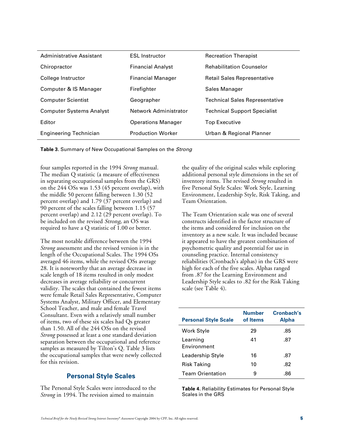| Administrative Assistant        | <b>ESL Instructor</b>     | <b>Recreation Therapist</b>         |
|---------------------------------|---------------------------|-------------------------------------|
| Chiropractor                    | <b>Financial Analyst</b>  | <b>Rehabilitation Counselor</b>     |
| College Instructor              | <b>Financial Manager</b>  | <b>Retail Sales Representative</b>  |
| Computer & IS Manager           | Firefighter               | <b>Sales Manager</b>                |
| <b>Computer Scientist</b>       | Geographer                | Technical Sales Representative      |
| <b>Computer Systems Analyst</b> | Network Administrator     | <b>Technical Support Specialist</b> |
| Editor                          | <b>Operations Manager</b> | <b>Top Executive</b>                |
| <b>Engineering Technician</b>   | <b>Production Worker</b>  | Urban & Regional Planner            |

**Table 3.** Summary of New Occupational Samples on the Strong

four samples reported in the 1994 *Strong* manual. The median Q statistic (a measure of effectiveness in separating occupational samples from the GRS) on the 244 OSs was 1.53 (45 percent overlap), with the middle 50 percent falling between 1.30 (52 percent overlap) and 1.79 (37 percent overlap) and 90 percent of the scales falling between 1.15 (57 percent overlap) and 2.12 (29 percent overlap). To be included on the revised Strong, an OS was required to have a Q statistic of 1.00 or better.

The most notable difference between the 1994 *Strong* assessment and the revised version is in the length of the Occupational Scales. The 1994 OSs averaged 46 items, while the revised OSs average 28. It is noteworthy that an average decrease in scale length of 18 items resulted in only modest decreases in average reliability or concurrent validity. The scales that contained the fewest items were female Retail Sales Representative, Computer Systems Analyst, Military Officer, and Elementary School Teacher, and male and female Travel Consultant. Even with a relatively small number of items, two of these six scales had Qs greater than 1.50. All of the 244 OSs on the revised *Strong* possessed at least a one standard deviation separation between the occupational and reference samples as measured by Tilton's Q. Table 3 lists the occupational samples that were newly collected for this revision.

# **Personal Style Scales**

The Personal Style Scales were introduced to the *Strong* in 1994. The revision aimed to maintain

the quality of the original scales while exploring additional personal style dimensions in the set of inventory items. The revised *Strong* resulted in five Personal Style Scales: Work Style, Learning Environment, Leadership Style, Risk Taking, and Team Orientation.

The Team Orientation scale was one of several constructs identified in the factor structure of the items and considered for inclusion on the inventory as a new scale. It was included because it appeared to have the greatest combination of psychometric quality and potential for use in counseling practice. Internal consistency reliabilities (Cronbach's alphas) in the GRS were high for each of the five scales. Alphas ranged from .87 for the Learning Environment and Leadership Style scales to .82 for the Risk Taking scale (see Table 4).

| <b>Personal Style Scale</b> | <b>Number</b><br>of Items | Cronbach's<br><b>Alpha</b> |
|-----------------------------|---------------------------|----------------------------|
| Work Style                  | 29                        | .85                        |
| Learning<br>Environment     | 41                        | .87                        |
| Leadership Style            | 16                        | .87                        |
| Risk Taking                 | 10                        | .82                        |
| <b>Team Orientation</b>     | 9                         | .86                        |

**Table 4.** Reliability Estimates for Personal Style Scales in the GRS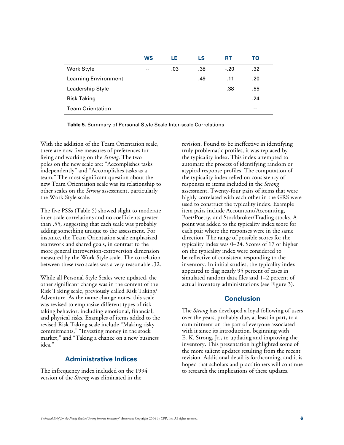|                             | <b>WS</b> | LE  | LS  | <b>RT</b> | TO  |  |
|-----------------------------|-----------|-----|-----|-----------|-----|--|
| Work Style                  | $- -$     | .03 | .38 | $-.20$    | .32 |  |
| <b>Learning Environment</b> |           |     | .49 | .11       | .20 |  |
| Leadership Style            |           |     |     | .38       | .55 |  |
| <b>Risk Taking</b>          |           |     |     |           | .24 |  |
| <b>Team Orientation</b>     |           |     |     |           | --  |  |

**Table 5.** Summary of Personal Style Scale Inter-scale Correlations

With the addition of the Team Orientation scale, there are now five measures of preferences for living and working on the *Strong*. The two poles on the new scale are: "Accomplishes tasks independently" and "Accomplishes tasks as a team." The most significant question about the new Team Orientation scale was its relationship to other scales on the *Strong* assessment, particularly the Work Style scale.

The five PSSs (Table 5) showed slight to moderate inter-scale correlations and no coefficients greater than .55, suggesting that each scale was probably adding something unique to the assessment. For instance, the Team Orientation scale emphasized teamwork and shared goals, in contrast to the more general introversion-extroversion dimension measured by the Work Style scale. The correlation between these two scales was a very reasonable .32.

While all Personal Style Scales were updated, the other significant change was in the content of the Risk Taking scale, previously called Risk Taking/ Adventure. As the name change notes, this scale was revised to emphasize different types of risktaking behavior, including emotional, financial, and physical risks. Examples of items added to the revised Risk Taking scale include "Making risky commitments," "Investing money in the stock market," and "Taking a chance on a new business idea."

# **Administrative Indices**

The infrequency index included on the 1994 version of the *Strong* was eliminated in the

revision. Found to be ineffective in identifying truly problematic profiles, it was replaced by the typicality index. This index attempted to automate the process of identifying random or atypical response profiles. The computation of the typicality index relied on consistency of responses to items included in the *Strong* assessment. Twenty-four pairs of items that were highly correlated with each other in the GRS were used to construct the typicality index. Example item pairs include Accountant/Accounting, Poet/Poetry, and Stockbroker/Trading stocks. A point was added to the typicality index score for each pair where the responses were in the same direction. The range of possible scores for the typicality index was 0–24. Scores of 17 or higher on the typicality index were considered to be reflective of consistent responding to the inventory. In initial studies, the typicality index appeared to flag nearly 95 percent of cases in simulated random data files and 1–2 percent of actual inventory administrations (see Figure 3).

#### **Conclusion**

The *Strong* has developed a loyal following of users over the years, probably due, at least in part, to a commitment on the part of everyone associated with it since its introduction, beginning with E. K. Strong, Jr., to updating and improving the inventory. This presentation highlighted some of the more salient updates resulting from the recent revision. Additional detail is forthcoming, and it is hoped that scholars and practitioners will continue to research the implications of these updates.